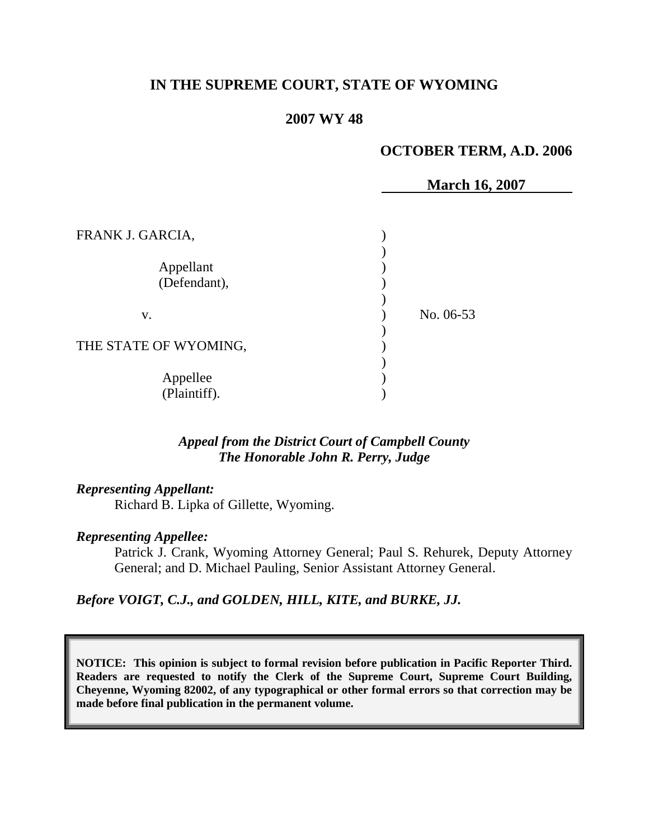# **IN THE SUPREME COURT, STATE OF WYOMING**

#### **2007 WY 48**

#### **OCTOBER TERM, A.D. 2006**

|                       | <b>March 16, 2007</b> |
|-----------------------|-----------------------|
| FRANK J. GARCIA,      |                       |
|                       |                       |
| Appellant             |                       |
| (Defendant),          |                       |
|                       |                       |
| V.                    | No. 06-53             |
|                       |                       |
| THE STATE OF WYOMING, |                       |
|                       |                       |
| Appellee              |                       |
| (Plaintiff).          |                       |

#### *Appeal from the District Court of Campbell County The Honorable John R. Perry, Judge*

## *Representing Appellant:*

Richard B. Lipka of Gillette, Wyoming.

#### *Representing Appellee:*

Patrick J. Crank, Wyoming Attorney General; Paul S. Rehurek, Deputy Attorney General; and D. Michael Pauling, Senior Assistant Attorney General.

*Before VOIGT, C.J., and GOLDEN, HILL, KITE, and BURKE, JJ.*

**NOTICE: This opinion is subject to formal revision before publication in Pacific Reporter Third. Readers are requested to notify the Clerk of the Supreme Court, Supreme Court Building, Cheyenne, Wyoming 82002, of any typographical or other formal errors so that correction may be made before final publication in the permanent volume.**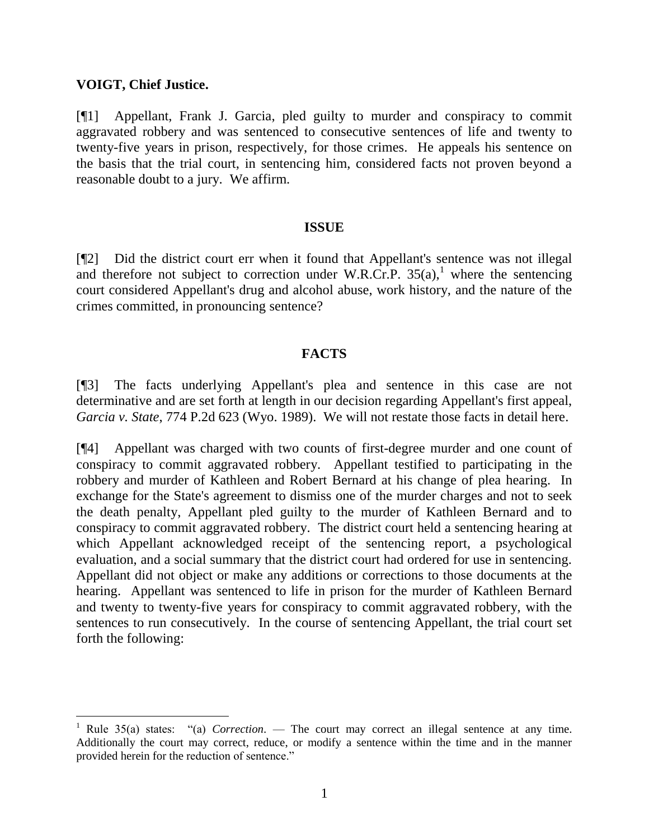## **VOIGT, Chief Justice.**

[¶1] Appellant, Frank J. Garcia, pled guilty to murder and conspiracy to commit aggravated robbery and was sentenced to consecutive sentences of life and twenty to twenty-five years in prison, respectively, for those crimes. He appeals his sentence on the basis that the trial court, in sentencing him, considered facts not proven beyond a reasonable doubt to a jury. We affirm.

## **ISSUE**

[¶2] Did the district court err when it found that Appellant's sentence was not illegal and therefore not subject to correction under W.R.Cr.P.  $35(a)$ , where the sentencing court considered Appellant's drug and alcohol abuse, work history, and the nature of the crimes committed, in pronouncing sentence?

## **FACTS**

[¶3] The facts underlying Appellant's plea and sentence in this case are not determinative and are set forth at length in our decision regarding Appellant's first appeal, *Garcia v. State*, 774 P.2d 623 (Wyo. 1989). We will not restate those facts in detail here.

[¶4] Appellant was charged with two counts of first-degree murder and one count of conspiracy to commit aggravated robbery. Appellant testified to participating in the robbery and murder of Kathleen and Robert Bernard at his change of plea hearing. In exchange for the State's agreement to dismiss one of the murder charges and not to seek the death penalty, Appellant pled guilty to the murder of Kathleen Bernard and to conspiracy to commit aggravated robbery. The district court held a sentencing hearing at which Appellant acknowledged receipt of the sentencing report, a psychological evaluation, and a social summary that the district court had ordered for use in sentencing. Appellant did not object or make any additions or corrections to those documents at the hearing. Appellant was sentenced to life in prison for the murder of Kathleen Bernard and twenty to twenty-five years for conspiracy to commit aggravated robbery, with the sentences to run consecutively. In the course of sentencing Appellant, the trial court set forth the following:

Rule 35(a) states: "(a) *Correction*. — The court may correct an illegal sentence at any time. Additionally the court may correct, reduce, or modify a sentence within the time and in the manner provided herein for the reduction of sentence."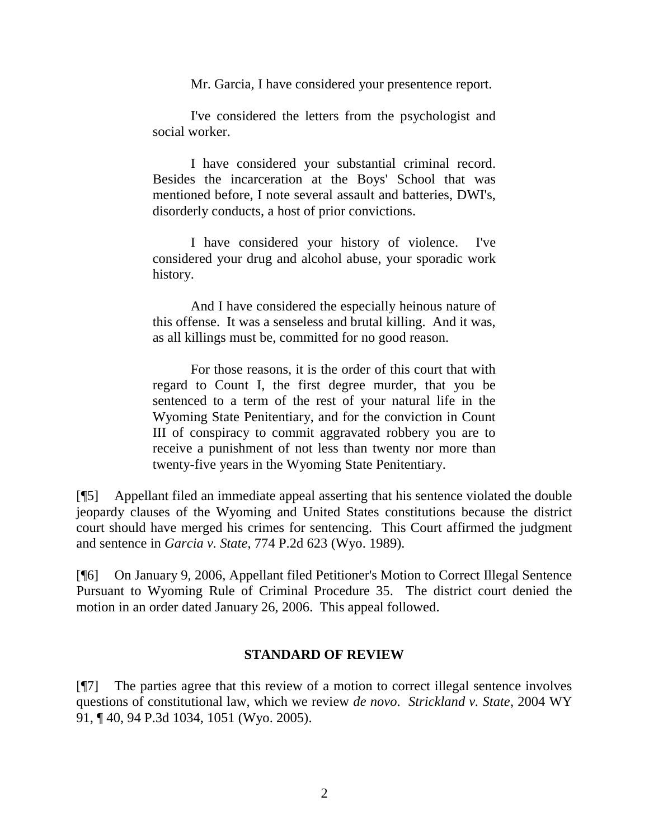Mr. Garcia, I have considered your presentence report.

I've considered the letters from the psychologist and social worker.

I have considered your substantial criminal record. Besides the incarceration at the Boys' School that was mentioned before, I note several assault and batteries, DWI's, disorderly conducts, a host of prior convictions.

I have considered your history of violence. I've considered your drug and alcohol abuse, your sporadic work history.

And I have considered the especially heinous nature of this offense. It was a senseless and brutal killing. And it was, as all killings must be, committed for no good reason.

For those reasons, it is the order of this court that with regard to Count I, the first degree murder, that you be sentenced to a term of the rest of your natural life in the Wyoming State Penitentiary, and for the conviction in Count III of conspiracy to commit aggravated robbery you are to receive a punishment of not less than twenty nor more than twenty-five years in the Wyoming State Penitentiary.

[¶5] Appellant filed an immediate appeal asserting that his sentence violated the double jeopardy clauses of the Wyoming and United States constitutions because the district court should have merged his crimes for sentencing. This Court affirmed the judgment and sentence in *Garcia v. State*, 774 P.2d 623 (Wyo. 1989).

[¶6] On January 9, 2006, Appellant filed Petitioner's Motion to Correct Illegal Sentence Pursuant to Wyoming Rule of Criminal Procedure 35. The district court denied the motion in an order dated January 26, 2006. This appeal followed.

## **STANDARD OF REVIEW**

[¶7] The parties agree that this review of a motion to correct illegal sentence involves questions of constitutional law, which we review *de novo*. *Strickland v. State*, 2004 WY 91, ¶ 40, 94 P.3d 1034, 1051 (Wyo. 2005).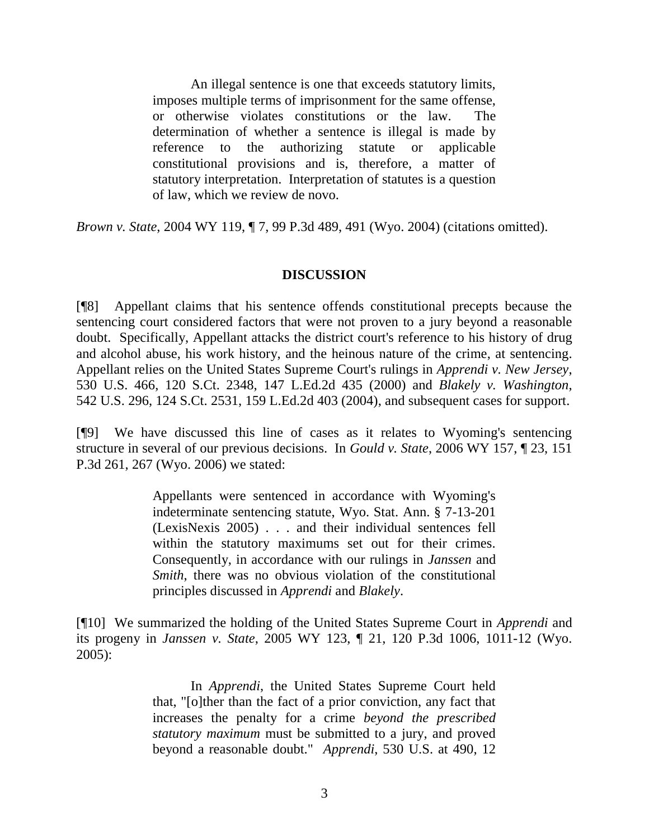An illegal sentence is one that exceeds statutory limits, imposes multiple terms of imprisonment for the same offense, or otherwise violates constitutions or the law. The determination of whether a sentence is illegal is made by reference to the authorizing statute or applicable constitutional provisions and is, therefore, a matter of statutory interpretation. Interpretation of statutes is a question of law, which we review de novo.

*Brown v. State*, 2004 WY 119, ¶ 7, 99 P.3d 489, 491 (Wyo. 2004) (citations omitted).

## **DISCUSSION**

[¶8] Appellant claims that his sentence offends constitutional precepts because the sentencing court considered factors that were not proven to a jury beyond a reasonable doubt. Specifically, Appellant attacks the district court's reference to his history of drug and alcohol abuse, his work history, and the heinous nature of the crime, at sentencing. Appellant relies on the United States Supreme Court's rulings in *Apprendi v. New Jersey*, 530 U.S. 466, 120 S.Ct. 2348, 147 L.Ed.2d 435 (2000) and *Blakely v. Washington*, 542 U.S. 296, 124 S.Ct. 2531, 159 L.Ed.2d 403 (2004), and subsequent cases for support.

[¶9] We have discussed this line of cases as it relates to Wyoming's sentencing structure in several of our previous decisions. In *Gould v. State*, 2006 WY 157, ¶ 23, 151 P.3d 261, 267 (Wyo. 2006) we stated:

> Appellants were sentenced in accordance with Wyoming's indeterminate sentencing statute, Wyo. Stat. Ann. § 7-13-201 (LexisNexis 2005) . . . and their individual sentences fell within the statutory maximums set out for their crimes. Consequently, in accordance with our rulings in *Janssen* and *Smith*, there was no obvious violation of the constitutional principles discussed in *Apprendi* and *Blakely*.

[¶10] We summarized the holding of the United States Supreme Court in *Apprendi* and its progeny in *Janssen v. State*, 2005 WY 123, ¶ 21, 120 P.3d 1006, 1011-12 (Wyo.  $2005$ :

> In *Apprendi*, the United States Supreme Court held that, "[o]ther than the fact of a prior conviction, any fact that increases the penalty for a crime *beyond the prescribed statutory maximum* must be submitted to a jury, and proved beyond a reasonable doubt." *Apprendi*, 530 U.S. at 490, 12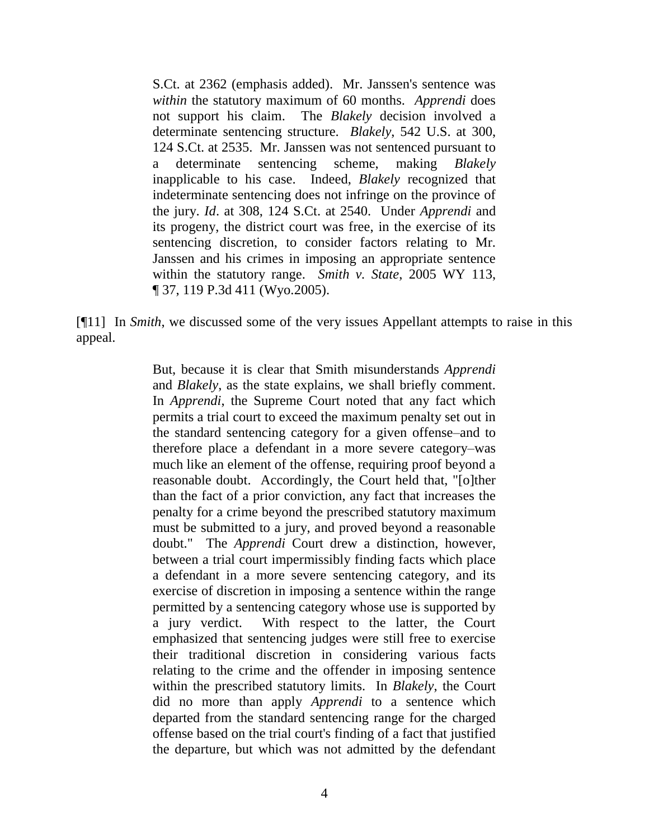S.Ct. at 2362 (emphasis added). Mr. Janssen's sentence was *within* the statutory maximum of 60 months. *Apprendi* does not support his claim. The *Blakely* decision involved a determinate sentencing structure. *Blakely*, 542 U.S. at 300, 124 S.Ct. at 2535. Mr. Janssen was not sentenced pursuant to a determinate sentencing scheme, making *Blakely* inapplicable to his case. Indeed, *Blakely* recognized that indeterminate sentencing does not infringe on the province of the jury. *Id*. at 308, 124 S.Ct. at 2540. Under *Apprendi* and its progeny, the district court was free, in the exercise of its sentencing discretion, to consider factors relating to Mr. Janssen and his crimes in imposing an appropriate sentence within the statutory range. *Smith v. State*, 2005 WY 113, ¶ 37, 119 P.3d 411 (Wyo.2005).

[¶11] In *Smith*, we discussed some of the very issues Appellant attempts to raise in this appeal.

> But, because it is clear that Smith misunderstands *Apprendi* and *Blakely*, as the state explains, we shall briefly comment. In *Apprendi*, the Supreme Court noted that any fact which permits a trial court to exceed the maximum penalty set out in the standard sentencing category for a given offense–and to therefore place a defendant in a more severe category–was much like an element of the offense, requiring proof beyond a reasonable doubt. Accordingly, the Court held that, "[o]ther than the fact of a prior conviction, any fact that increases the penalty for a crime beyond the prescribed statutory maximum must be submitted to a jury, and proved beyond a reasonable doubt." The *Apprendi* Court drew a distinction, however, between a trial court impermissibly finding facts which place a defendant in a more severe sentencing category, and its exercise of discretion in imposing a sentence within the range permitted by a sentencing category whose use is supported by a jury verdict. With respect to the latter, the Court emphasized that sentencing judges were still free to exercise their traditional discretion in considering various facts relating to the crime and the offender in imposing sentence within the prescribed statutory limits. In *Blakely*, the Court did no more than apply *Apprendi* to a sentence which departed from the standard sentencing range for the charged offense based on the trial court's finding of a fact that justified the departure, but which was not admitted by the defendant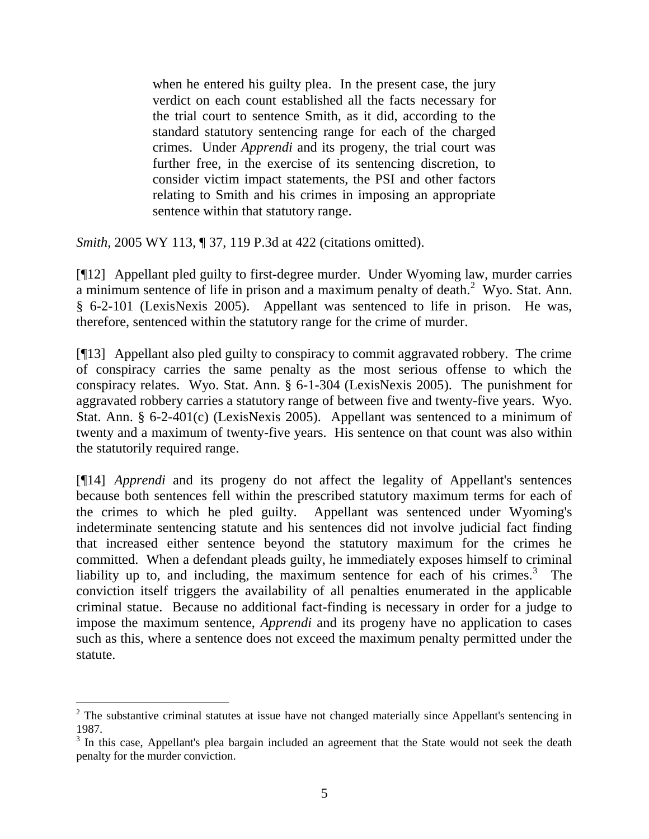when he entered his guilty plea. In the present case, the jury verdict on each count established all the facts necessary for the trial court to sentence Smith, as it did, according to the standard statutory sentencing range for each of the charged crimes. Under *Apprendi* and its progeny, the trial court was further free, in the exercise of its sentencing discretion, to consider victim impact statements, the PSI and other factors relating to Smith and his crimes in imposing an appropriate sentence within that statutory range.

*Smith*, 2005 WY 113, ¶ 37, 119 P.3d at 422 (citations omitted).

[¶12] Appellant pled guilty to first-degree murder. Under Wyoming law, murder carries a minimum sentence of life in prison and a maximum penalty of death.<sup>2</sup> Wyo. Stat. Ann. § 6-2-101 (LexisNexis 2005). Appellant was sentenced to life in prison. He was, therefore, sentenced within the statutory range for the crime of murder.

[¶13] Appellant also pled guilty to conspiracy to commit aggravated robbery. The crime of conspiracy carries the same penalty as the most serious offense to which the conspiracy relates. Wyo. Stat. Ann. § 6-1-304 (LexisNexis 2005). The punishment for aggravated robbery carries a statutory range of between five and twenty-five years. Wyo. Stat. Ann. § 6-2-401(c) (LexisNexis 2005). Appellant was sentenced to a minimum of twenty and a maximum of twenty-five years. His sentence on that count was also within the statutorily required range.

[¶14] *Apprendi* and its progeny do not affect the legality of Appellant's sentences because both sentences fell within the prescribed statutory maximum terms for each of the crimes to which he pled guilty. Appellant was sentenced under Wyoming's indeterminate sentencing statute and his sentences did not involve judicial fact finding that increased either sentence beyond the statutory maximum for the crimes he committed. When a defendant pleads guilty, he immediately exposes himself to criminal liability up to, and including, the maximum sentence for each of his crimes. $3$  The conviction itself triggers the availability of all penalties enumerated in the applicable criminal statue. Because no additional fact-finding is necessary in order for a judge to impose the maximum sentence, *Apprendi* and its progeny have no application to cases such as this, where a sentence does not exceed the maximum penalty permitted under the statute.

 $\overline{a}$ 

 $2$  The substantive criminal statutes at issue have not changed materially since Appellant's sentencing in 1987.

<sup>&</sup>lt;sup>3</sup> In this case, Appellant's plea bargain included an agreement that the State would not seek the death penalty for the murder conviction.